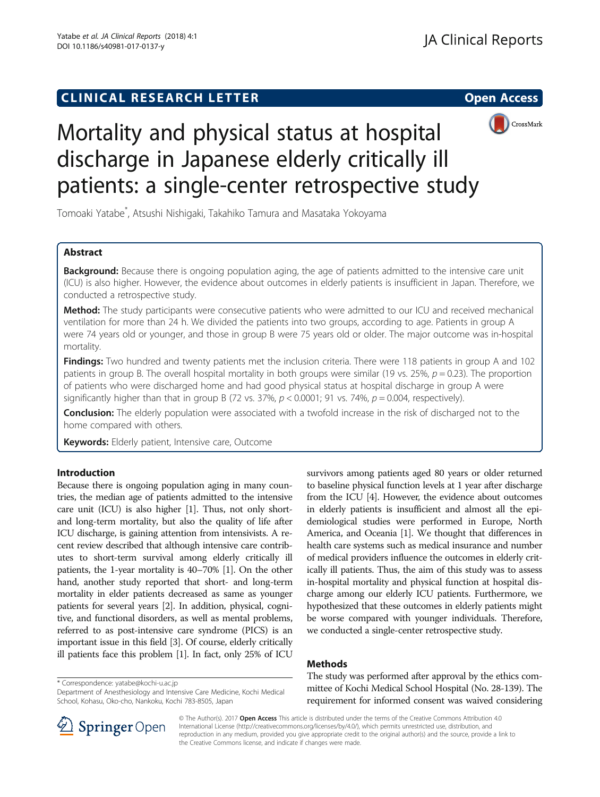## **CLINICAL RESEARCH LETTER CLINICAL RESEARCH LETTER Open Access**



# Mortality and physical status at hospital discharge in Japanese elderly critically ill patients: a single-center retrospective study

Tomoaki Yatabe\* , Atsushi Nishigaki, Takahiko Tamura and Masataka Yokoyama

## Abstract

**Background:** Because there is ongoing population aging, the age of patients admitted to the intensive care unit (ICU) is also higher. However, the evidence about outcomes in elderly patients is insufficient in Japan. Therefore, we conducted a retrospective study.

**Method:** The study participants were consecutive patients who were admitted to our ICU and received mechanical ventilation for more than 24 h. We divided the patients into two groups, according to age. Patients in group A were 74 years old or younger, and those in group B were 75 years old or older. The major outcome was in-hospital mortality.

Findings: Two hundred and twenty patients met the inclusion criteria. There were 118 patients in group A and 102 patients in group B. The overall hospital mortality in both groups were similar (19 vs. 25%,  $p = 0.23$ ). The proportion of patients who were discharged home and had good physical status at hospital discharge in group A were significantly higher than that in group B (72 vs. 37%,  $p < 0.0001$ ; 91 vs. 74%,  $p = 0.004$ , respectively).

Conclusion: The elderly population were associated with a twofold increase in the risk of discharged not to the home compared with others.

Keywords: Elderly patient, Intensive care, Outcome

### Introduction

Because there is ongoing population aging in many countries, the median age of patients admitted to the intensive care unit (ICU) is also higher [\[1\]](#page-4-0). Thus, not only shortand long-term mortality, but also the quality of life after ICU discharge, is gaining attention from intensivists. A recent review described that although intensive care contributes to short-term survival among elderly critically ill patients, the 1-year mortality is 40–70% [\[1\]](#page-4-0). On the other hand, another study reported that short- and long-term mortality in elder patients decreased as same as younger patients for several years [\[2\]](#page-4-0). In addition, physical, cognitive, and functional disorders, as well as mental problems, referred to as post-intensive care syndrome (PICS) is an important issue in this field [[3](#page-4-0)]. Of course, elderly critically ill patients face this problem [[1\]](#page-4-0). In fact, only 25% of ICU

\* Correspondence: [yatabe@kochi-u.ac.jp](mailto:yatabe@kochi-u.ac.jp)

Department of Anesthesiology and Intensive Care Medicine, Kochi Medical School, Kohasu, Oko-cho, Nankoku, Kochi 783-8505, Japan

survivors among patients aged 80 years or older returned to baseline physical function levels at 1 year after discharge from the ICU [\[4\]](#page-4-0). However, the evidence about outcomes in elderly patients is insufficient and almost all the epidemiological studies were performed in Europe, North America, and Oceania [[1](#page-4-0)]. We thought that differences in health care systems such as medical insurance and number of medical providers influence the outcomes in elderly critically ill patients. Thus, the aim of this study was to assess in-hospital mortality and physical function at hospital discharge among our elderly ICU patients. Furthermore, we hypothesized that these outcomes in elderly patients might be worse compared with younger individuals. Therefore, we conducted a single-center retrospective study.

## Methods

The study was performed after approval by the ethics committee of Kochi Medical School Hospital (No. 28-139). The requirement for informed consent was waived considering



© The Author(s). 2017 Open Access This article is distributed under the terms of the Creative Commons Attribution 4.0 International License ([http://creativecommons.org/licenses/by/4.0/\)](http://creativecommons.org/licenses/by/4.0/), which permits unrestricted use, distribution, and reproduction in any medium, provided you give appropriate credit to the original author(s) and the source, provide a link to the Creative Commons license, and indicate if changes were made.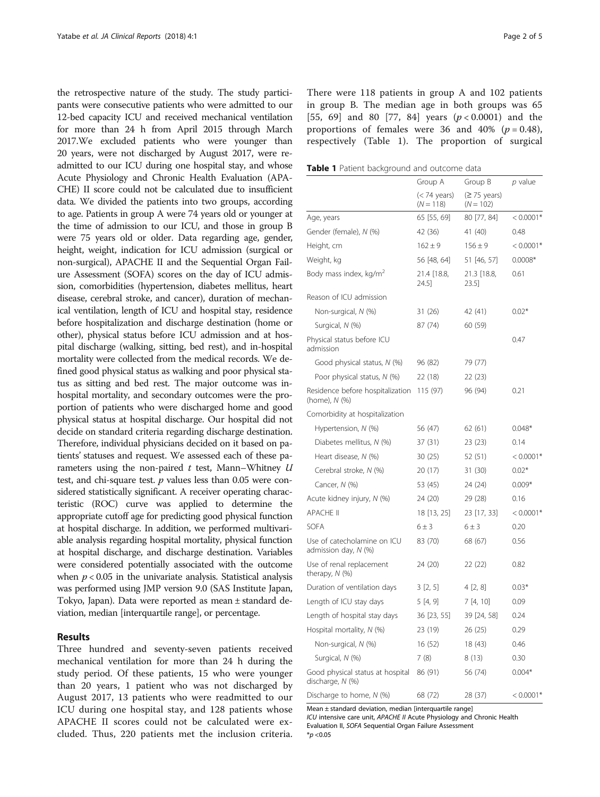the retrospective nature of the study. The study participants were consecutive patients who were admitted to our 12-bed capacity ICU and received mechanical ventilation for more than 24 h from April 2015 through March 2017.We excluded patients who were younger than 20 years, were not discharged by August 2017, were readmitted to our ICU during one hospital stay, and whose Acute Physiology and Chronic Health Evaluation (APA-CHE) II score could not be calculated due to insufficient data. We divided the patients into two groups, according to age. Patients in group A were 74 years old or younger at the time of admission to our ICU, and those in group B were 75 years old or older. Data regarding age, gender, height, weight, indication for ICU admission (surgical or non-surgical), APACHE II and the Sequential Organ Failure Assessment (SOFA) scores on the day of ICU admission, comorbidities (hypertension, diabetes mellitus, heart disease, cerebral stroke, and cancer), duration of mechanical ventilation, length of ICU and hospital stay, residence before hospitalization and discharge destination (home or other), physical status before ICU admission and at hospital discharge (walking, sitting, bed rest), and in-hospital mortality were collected from the medical records. We defined good physical status as walking and poor physical status as sitting and bed rest. The major outcome was inhospital mortality, and secondary outcomes were the proportion of patients who were discharged home and good physical status at hospital discharge. Our hospital did not decide on standard criteria regarding discharge destination. Therefore, individual physicians decided on it based on patients' statuses and request. We assessed each of these parameters using the non-paired  $t$  test, Mann–Whitney  $U$ test, and chi-square test.  $p$  values less than 0.05 were considered statistically significant. A receiver operating characteristic (ROC) curve was applied to determine the appropriate cutoff age for predicting good physical function at hospital discharge. In addition, we performed multivariable analysis regarding hospital mortality, physical function at hospital discharge, and discharge destination. Variables were considered potentially associated with the outcome when  $p < 0.05$  in the univariate analysis. Statistical analysis was performed using JMP version 9.0 (SAS Institute Japan, Tokyo, Japan). Data were reported as mean ± standard deviation, median [interquartile range], or percentage.

#### Results

Three hundred and seventy-seven patients received mechanical ventilation for more than 24 h during the study period. Of these patients, 15 who were younger than 20 years, 1 patient who was not discharged by August 2017, 13 patients who were readmitted to our ICU during one hospital stay, and 128 patients whose APACHE II scores could not be calculated were excluded. Thus, 220 patients met the inclusion criteria. There were 118 patients in group A and 102 patients in group B. The median age in both groups was 65 [55, 69] and 80 [77, 84] years  $(p < 0.0001)$  and the proportions of females were 36 and 40% ( $p = 0.48$ ), respectively (Table 1). The proportion of surgical

Table 1 Patient background and outcome data

|                                                      | Group A                     | Group B                               | p value     |
|------------------------------------------------------|-----------------------------|---------------------------------------|-------------|
|                                                      | (< 74 years)<br>$(N = 118)$ | $(≥ 75 \text{ years})$<br>$(N = 102)$ |             |
| Age, years                                           | 65 [55, 69]                 | 80 [77, 84]                           | $< 0.0001*$ |
| Gender (female), N (%)                               | 42 (36)                     | 41 (40)                               | 0.48        |
| Height, cm                                           | $162 \pm 9$                 | $156 \pm 9$                           | $< 0.0001*$ |
| Weight, kg                                           | 56 [48, 64]                 | 51 [46, 57]                           | $0.0008*$   |
| Body mass index, kg/m <sup>2</sup>                   | 21.4 [18.8,<br>24.51        | 21.3 [18.8,<br>$23.5$ ]               | 0.61        |
| Reason of ICU admission                              |                             |                                       |             |
| Non-surgical, N (%)                                  | 31 (26)                     | 42 (41)                               | $0.02*$     |
| Surgical, N (%)                                      | 87 (74)                     | 60 (59)                               |             |
| Physical status before ICU<br>admission              |                             |                                       | 0.47        |
| Good physical status, N (%)                          | 96 (82)                     | 79 (77)                               |             |
| Poor physical status, N (%)                          | 22 (18)                     | 22 (23)                               |             |
| Residence before hospitalization<br>(home), N (%)    | 115 (97)                    | 96 (94)                               | 0.21        |
| Comorbidity at hospitalization                       |                             |                                       |             |
| Hypertension, N (%)                                  | 56 (47)                     | 62 (61)                               | $0.048*$    |
| Diabetes mellitus, N (%)                             | 37 (31)                     | 23 (23)                               | 0.14        |
| Heart disease, N (%)                                 | 30 (25)                     | 52 (51)                               | $< 0.0001*$ |
| Cerebral stroke, N (%)                               | 20 (17)                     | 31 (30)                               | $0.02*$     |
| Cancer, N (%)                                        | 53 (45)                     | 24 (24)                               | $0.009*$    |
| Acute kidney injury, N (%)                           | 24 (20)                     | 29 (28)                               | 0.16        |
| <b>APACHE II</b>                                     | 18 [13, 25]                 | 23 [17, 33]                           | $< 0.0001*$ |
| <b>SOFA</b>                                          | $6 \pm 3$                   | $6 \pm 3$                             | 0.20        |
| Use of catecholamine on ICU<br>admission day, N (%)  | 83 (70)                     | 68 (67)                               | 0.56        |
| Use of renal replacement<br>therapy, $N$ (%)         | 24 (20)                     | 22 (22)                               | 0.82        |
| Duration of ventilation days                         | 3 [2, 5]                    | 4 [2, 8]                              | $0.03*$     |
| Length of ICU stay days                              | 5 [4, 9]                    | 7 [4, 10]                             | 0.09        |
| Length of hospital stay days                         | 36 [23, 55]                 | 39 [24, 58]                           | 0.24        |
| Hospital mortality, N (%)                            | 23 (19)                     | 26 (25)                               | 0.29        |
| Non-surgical, N (%)                                  | 16 (52)                     | 18 (43)                               | 0.46        |
| Surgical, N (%)                                      | 7(8)                        | 8(13)                                 | 0.30        |
| Good physical status at hospital<br>discharge, N (%) | 86 (91)                     | 56 (74)                               | $0.004*$    |
| Discharge to home, N (%)                             | 68 (72)                     | 28 (37)                               | $< 0.0001*$ |

Mean ± standard deviation, median [interquartile range]

ICU intensive care unit, APACHE II Acute Physiology and Chronic Health Evaluation II, SOFA Sequential Organ Failure Assessment  $*_{p < 0.05}$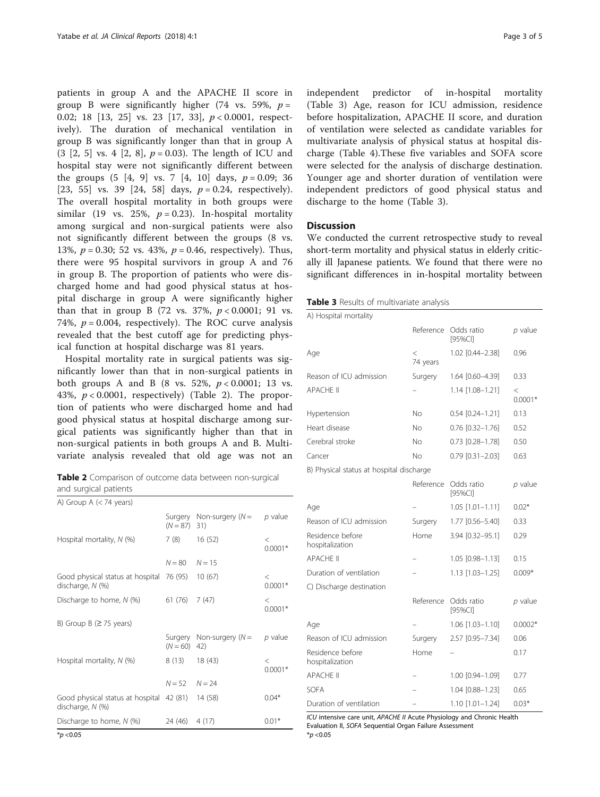patients in group A and the APACHE II score in group B were significantly higher (74 vs. 59%,  $p =$ 0.02; 18 [13, 25] vs. 23 [17, 33], p < 0.0001, respectively). The duration of mechanical ventilation in group B was significantly longer than that in group A  $(3 [2, 5] \text{ vs. } 4 [2, 8], p = 0.03)$ . The length of ICU and hospital stay were not significantly different between the groups  $(5 \t4, 9 \t vs. 7 \t4, 10 \t days, p = 0.09; 36$ [23, 55] vs. 39 [24, 58] days,  $p = 0.24$ , respectively). The overall hospital mortality in both groups were similar (19 vs. 25%,  $p = 0.23$ ). In-hospital mortality among surgical and non-surgical patients were also not significantly different between the groups (8 vs. 13%,  $p = 0.30$ ; 52 vs. 43%,  $p = 0.46$ , respectively). Thus, there were 95 hospital survivors in group A and 76 in group B. The proportion of patients who were discharged home and had good physical status at hospital discharge in group A were significantly higher than that in group B (72 vs. 37%,  $p < 0.0001$ ; 91 vs. 74%,  $p = 0.004$ , respectively). The ROC curve analysis revealed that the best cutoff age for predicting physical function at hospital discharge was 81 years.

Hospital mortality rate in surgical patients was significantly lower than that in non-surgical patients in both groups A and B (8 vs. 52%,  $p < 0.0001$ ; 13 vs. 43%,  $p < 0.0001$ , respectively) (Table 2). The proportion of patients who were discharged home and had good physical status at hospital discharge among surgical patients was significantly higher than that in non-surgical patients in both groups A and B. Multivariate analysis revealed that old age was not an

Table 2 Comparison of outcome data between non-surgical and surgical patients

| A) Group A $(< 74$ years)                                    |                   |                                    |                      |
|--------------------------------------------------------------|-------------------|------------------------------------|----------------------|
|                                                              | $(N = 87)$ 31)    | Surgery Non-surgery $(N =$         | $p$ value            |
| Hospital mortality, $N$ (%)                                  | 7 (8)             | 16(52)                             | $\,<\,$<br>$0.0001*$ |
|                                                              | $N = 80$          | $N = 15$                           |                      |
| Good physical status at hospital 76 (95)<br>discharge, N (%) |                   | 10(67)                             | $\,<\,$<br>$0.0001*$ |
| Discharge to home, $N$ (%)                                   | 61 (76)           | 7(47)                              | $\lt$<br>$0.0001*$   |
| B) Group B ( $\geq$ 75 years)                                |                   |                                    |                      |
|                                                              | $(N = 60)$        | Surgery Non-surgery ( $N =$<br>42) | $p$ value            |
| Hospital mortality, $N$ (%)                                  | 8 (13)            | 18(43)                             | $\lt$<br>$0.0001*$   |
|                                                              | $N = 52$ $N = 24$ |                                    |                      |
| Good physical status at hospital 42 (81)<br>discharge, N (%) |                   | 14 (58)                            | $0.04*$              |
| Discharge to home, N (%)                                     | 24 (46)           | 4(17)                              | $0.01*$              |

independent predictor of in-hospital mortality (Table 3) Age, reason for ICU admission, residence before hospitalization, APACHE II score, and duration of ventilation were selected as candidate variables for multivariate analysis of physical status at hospital discharge (Table [4](#page-3-0)).These five variables and SOFA score were selected for the analysis of discharge destination. Younger age and shorter duration of ventilation were independent predictors of good physical status and discharge to the home (Table 3).

#### **Discussion**

We conducted the current retrospective study to reveal short-term mortality and physical status in elderly critically ill Japanese patients. We found that there were no significant differences in in-hospital mortality between

| Table 3 Results of multivariate analysis |  |  |  |
|------------------------------------------|--|--|--|
|------------------------------------------|--|--|--|

| A) Hospital mortality                    |                   |                        |                      |
|------------------------------------------|-------------------|------------------------|----------------------|
|                                          | Reference         | Odds ratio<br>[95%CI]  | $p$ value            |
| Age                                      | $\,<$<br>74 years | 1.02 [0.44-2.38]       | 0.96                 |
| Reason of ICU admission                  | Surgery           | 1.64 [0.60-4.39]       | 0.33                 |
| <b>APACHE II</b>                         |                   | 1.14 [1.08-1.21]       | $\,<\,$<br>$0.0001*$ |
| Hypertension                             | No                | $0.54$ $[0.24 - 1.21]$ | 0.13                 |
| Heart disease                            | No                | $0.76$ $[0.32 - 1.76]$ | 0.52                 |
| Cerebral stroke                          | No                | $0.73$ $[0.28 - 1.78]$ | 0.50                 |
| Cancer                                   | No                | $0.79$ $[0.31 - 2.03]$ | 0.63                 |
| B) Physical status at hospital discharge |                   |                        |                      |
|                                          | Reference         | Odds ratio<br>[95%CI]  | $p$ value            |
| Age                                      |                   | $1.05$ [1.01-1.11]     | $0.02*$              |
| Reason of ICU admission                  | Surgery           | 1.77 [0.56-5.40]       | 0.33                 |
| Residence before<br>hospitalization      | Home              | 3.94 [0.32-95.1]       | 0.29                 |
| <b>APACHE II</b>                         |                   | 1.05 [0.98-1.13]       | 0.15                 |
| Duration of ventilation                  |                   | 1.13 [1.03-1.25]       | $0.009*$             |
| C) Discharge destination                 |                   |                        |                      |
|                                          | Reference         | Odds ratio<br>[95%CI]  | $p$ value            |
| Age                                      |                   | 1.06 [1.03-1.10]       | $0.0002*$            |
| Reason of ICU admission                  | Surgery           | 2.57 [0.95-7.34]       | 0.06                 |
| Residence before<br>hospitalization      | Home              |                        | 0.17                 |
| <b>APACHE II</b>                         | -                 | 1.00 [0.94-1.09]       | 0.77                 |
| SOFA                                     |                   | 1.04 [0.88-1.23]       | 0.65                 |
| Duration of ventilation                  |                   | $1.10$ $[1.01 - 1.24]$ | $0.03*$              |

ICU intensive care unit, APACHE II Acute Physiology and Chronic Health Evaluation II, SOFA Sequential Organ Failure Assessment  $*_{p < 0.05}$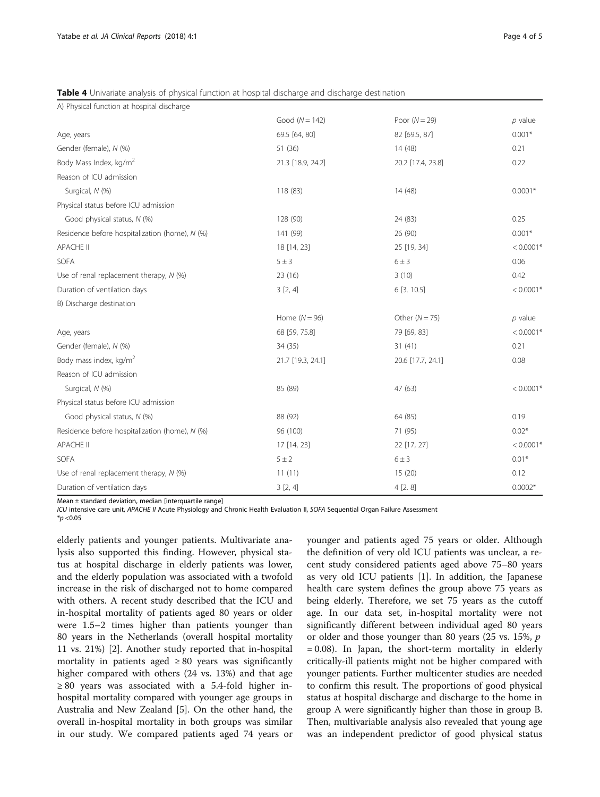<span id="page-3-0"></span>Table 4 Univariate analysis of physical function at hospital discharge and discharge destination

| A) Physical function at hospital discharge     |                   |                   |             |
|------------------------------------------------|-------------------|-------------------|-------------|
|                                                | Good $(N = 142)$  | Poor $(N = 29)$   | $p$ value   |
| Age, years                                     | 69.5 [64, 80]     | 82 [69.5, 87]     | $0.001*$    |
| Gender (female), N (%)                         | 51 (36)           | 14 (48)           | 0.21        |
| Body Mass Index, kg/m <sup>2</sup>             | 21.3 [18.9, 24.2] | 20.2 [17.4, 23.8] | 0.22        |
| Reason of ICU admission                        |                   |                   |             |
| Surgical, N (%)                                | 118 (83)          | 14 (48)           | $0.0001*$   |
| Physical status before ICU admission           |                   |                   |             |
| Good physical status, N (%)                    | 128 (90)          | 24 (83)           | 0.25        |
| Residence before hospitalization (home), N (%) | 141 (99)          | 26 (90)           | $0.001*$    |
| <b>APACHE II</b>                               | 18 [14, 23]       | 25 [19, 34]       | $< 0.0001*$ |
| SOFA                                           | $5 \pm 3$         | $6 \pm 3$         | 0.06        |
| Use of renal replacement therapy, N (%)        | 23 (16)           | 3(10)             | 0.42        |
| Duration of ventilation days                   | 3[2, 4]           | 6 [3. 10.5]       | $< 0.0001*$ |
| B) Discharge destination                       |                   |                   |             |
|                                                | Home $(N = 96)$   | Other $(N = 75)$  | $p$ value   |
| Age, years                                     | 68 [59, 75.8]     | 79 [69, 83]       | $< 0.0001*$ |
| Gender (female), N (%)                         | 34 (35)           | 31(41)            | 0.21        |
| Body mass index, kg/m <sup>2</sup>             | 21.7 [19.3, 24.1] | 20.6 [17.7, 24.1] | 0.08        |
| Reason of ICU admission                        |                   |                   |             |
| Surgical, N (%)                                | 85 (89)           | 47 (63)           | $< 0.0001*$ |
| Physical status before ICU admission           |                   |                   |             |
| Good physical status, N (%)                    | 88 (92)           | 64 (85)           | 0.19        |
| Residence before hospitalization (home), N (%) | 96 (100)          | 71 (95)           | $0.02*$     |
| <b>APACHE II</b>                               | 17 [14, 23]       | 22 [17, 27]       | $< 0.0001*$ |
| SOFA                                           | $5 \pm 2$         | $6 \pm 3$         | $0.01*$     |
| Use of renal replacement therapy, N (%)        | 11(11)            | 15(20)            | 0.12        |
| Duration of ventilation days                   | 3[2, 4]           | 4[2.8]            | $0.0002*$   |

Mean  $\pm$  standard deviation, median [interquartile range]

ICU intensive care unit, APACHE II Acute Physiology and Chronic Health Evaluation II, SOFA Sequential Organ Failure Assessment

 $*_{p < 0.05}$ 

elderly patients and younger patients. Multivariate analysis also supported this finding. However, physical status at hospital discharge in elderly patients was lower, and the elderly population was associated with a twofold increase in the risk of discharged not to home compared with others. A recent study described that the ICU and in-hospital mortality of patients aged 80 years or older were 1.5–2 times higher than patients younger than 80 years in the Netherlands (overall hospital mortality 11 vs. 21%) [\[2](#page-4-0)]. Another study reported that in-hospital mortality in patients aged  $\geq 80$  years was significantly higher compared with others (24 vs. 13%) and that age ≥ 80 years was associated with a 5.4-fold higher inhospital mortality compared with younger age groups in Australia and New Zealand [\[5](#page-4-0)]. On the other hand, the overall in-hospital mortality in both groups was similar in our study. We compared patients aged 74 years or younger and patients aged 75 years or older. Although the definition of very old ICU patients was unclear, a recent study considered patients aged above 75–80 years as very old ICU patients [[1\]](#page-4-0). In addition, the Japanese health care system defines the group above 75 years as being elderly. Therefore, we set 75 years as the cutoff age. In our data set, in-hospital mortality were not significantly different between individual aged 80 years or older and those younger than 80 years (25 vs. 15%, p = 0.08). In Japan, the short-term mortality in elderly critically-ill patients might not be higher compared with younger patients. Further multicenter studies are needed to confirm this result. The proportions of good physical status at hospital discharge and discharge to the home in group A were significantly higher than those in group B. Then, multivariable analysis also revealed that young age was an independent predictor of good physical status